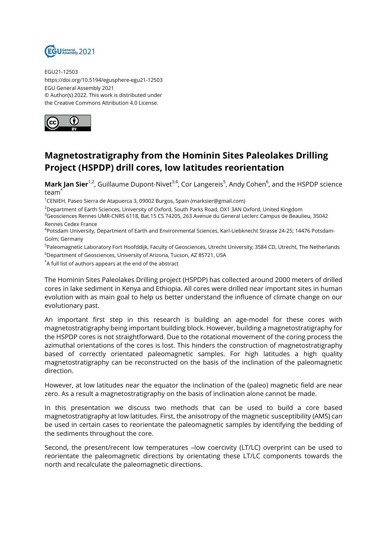

EGU21-12503 https://doi.org/10.5194/egusphere-egu21-12503 EGU General Assembly 2021 © Author(s) 2022. This work is distributed under the Creative Commons Attribution 4.0 License.



## **Magnetostratigraphy from the Hominin Sites Paleolakes Drilling Project (HSPDP) drill cores, low latitudes reorientation**

**Mark Jan Sier**<sup>1,2</sup>, Guillaume Dupont-Nivet<sup>3,4</sup>, Cor Langereis<sup>5</sup>, Andy Cohen<sup>6</sup>, and the HSPDP science team<sup>\*</sup>

 $1$ CENIEH, Paseo Sierra de Atapuerca 3, 09002 Burgos, Spain (marksier@gmail.com)

<sup>2</sup>Department of Earth Sciences, University of Oxford, South Parks Road, OX1 3AN Oxford, United Kingdom

<sup>3</sup>Geosciences Rennes UMR-CNRS 6118, Bat.15 CS 74205, 263 Avenue du General Leclerc Campus de Beaulieu, 35042 Rennes Cedex France

4 Potsdam University, Department of Earth and Environmental Sciences, Karl-Liebknecht Strasse 24-25; 14476 Potsdam-Golm; Germany

<sup>5</sup>Paleomagnetic Laboratory Fort Hoofddijk, Faculty of Geosciences, Utrecht University, 3584 CD, Utrecht, The Netherlands <sup>6</sup>Department of Geosciences, University of Arizona, Tucson, AZ 85721, USA

\*A full list of authors appears at the end of the abstract

The Hominin Sites Paleolakes Drilling project (HSPDP) has collected around 2000 meters of drilled cores in lake sediment in Kenya and Ethiopia. All cores were drilled near important sites in human evolution with as main goal to help us better understand the influence of climate change on our evolutionary past.

An important first step in this research is building an age-model for these cores with magnetostratigraphy being important building block. However, building a magnetostratigraphy for the HSPDP cores is not straightforward. Due to the rotational movement of the coring process the azimuthal orientations of the cores is lost. This hinders the construction of magnetostratigraphy based of correctly orientated paleomagnetic samples. For high latitudes a high quality magnetostratigraphy can be reconstructed on the basis of the inclination of the paleomagnetic direction.

However, at low latitudes near the equator the inclination of the (paleo) magnetic field are near zero. As a result a magnetostratigraphy on the basis of inclination alone cannot be made.

In this presentation we discuss two methods that can be used to build a core based magnetostratigraphy at low latitudes. First, the anisotropy of the magnetic susceptibility (AMS) can be used in certain cases to reorientate the paleomagnetic samples by identifying the bedding of the sediments throughout the core.

Second, the present/recent low temperatures –low coercivity (LT/LC) overprint can be used to reorientate the paleomagnetic directions by orientating these LT/LC components towards the north and recalculate the paleomagnetic directions.